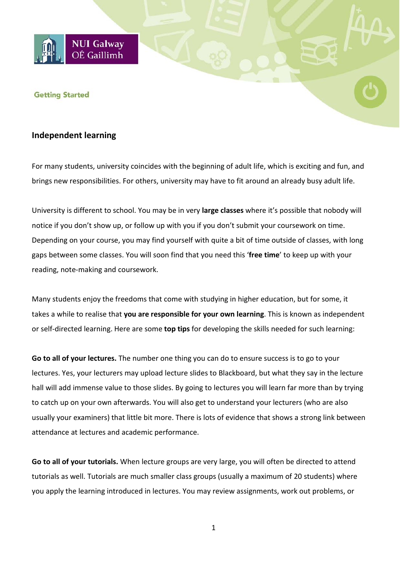

## **Getting Started**

## **Independent learning**

For many students, university coincides with the beginning of adult life, which is exciting and fun, and brings new responsibilities. For others, university may have to fit around an already busy adult life.

University is different to school. You may be in very **large classes** where it's possible that nobody will notice if you don't show up, or follow up with you if you don't submit your coursework on time. Depending on your course, you may find yourself with quite a bit of time outside of classes, with long gaps between some classes. You will soon find that you need this '**free time**' to keep up with your reading, note-making and coursework.

Many students enjoy the freedoms that come with studying in higher education, but for some, it takes a while to realise that **you are responsible for your own learning**. This is known as independent or self-directed learning. Here are some **top tips** for developing the skills needed for such learning:

**Go to all of your lectures.** The number one thing you can do to ensure success is to go to your lectures. Yes, your lecturers may upload lecture slides to Blackboard, but what they say in the lecture hall will add immense value to those slides. By going to lectures you will learn far more than by trying to catch up on your own afterwards. You will also get to understand your lecturers (who are also usually your examiners) that little bit more. There is lots of evidence that shows a strong link between attendance at lectures and academic performance.

**Go to all of your tutorials.** When lecture groups are very large, you will often be directed to attend tutorials as well. Tutorials are much smaller class groups (usually a maximum of 20 students) where you apply the learning introduced in lectures. You may review assignments, work out problems, or

1